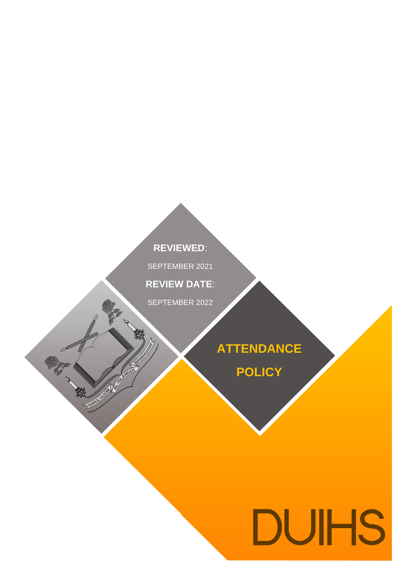# **REVIEWED**:

SEPTEMBER 2021

**REVIEW DATE**:

SEPTEMBER 2022

AUGUST 2019

袭

中被

**ATTENDANCE**

**POLICY**

# **DUIHS**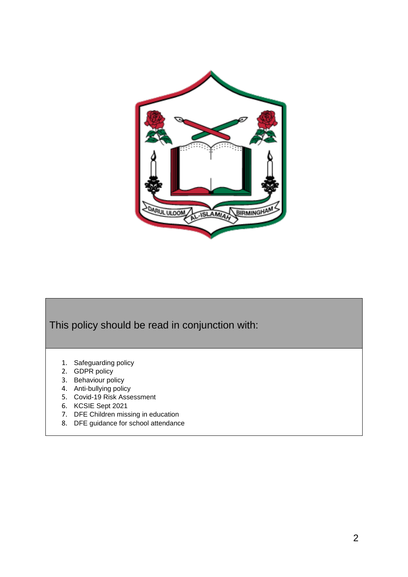

# This policy should be read in conjunction with:

- 1. Safeguarding policy
- 2. GDPR policy
- 3. Behaviour policy
- 4. Anti-bullying policy
- 5. Covid-19 Risk Assessment
- 6. KCSIE Sept 2021
- 7. DFE Children missing in education
- 8. DFE guidance for school attendance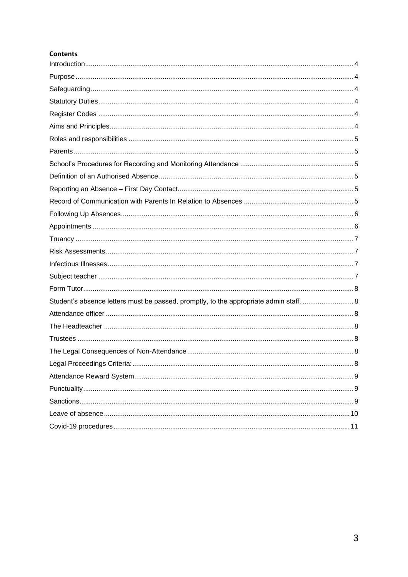# **Contents**

| Student's absence letters must be passed, promptly, to the appropriate admin staff. 8 |  |
|---------------------------------------------------------------------------------------|--|
|                                                                                       |  |
|                                                                                       |  |
|                                                                                       |  |
|                                                                                       |  |
|                                                                                       |  |
|                                                                                       |  |
|                                                                                       |  |
|                                                                                       |  |
|                                                                                       |  |
|                                                                                       |  |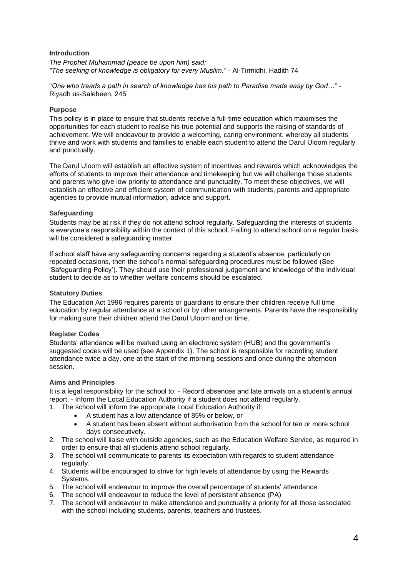#### <span id="page-3-0"></span>**Introduction**

*The Prophet Muhammad (peace be upon him) said: "The seeking of knowledge is obligatory for every Muslim."* - Al-Tirmidhi, Hadith 74

"*One who treads a path in search of knowledge has his path to Paradise made easy by God…"* - Riyadh us-Saleheen, 245

#### <span id="page-3-1"></span>**Purpose**

This policy is in place to ensure that students receive a full-time education which maximises the opportunities for each student to realise his true potential and supports the raising of standards of achievement. We will endeavour to provide a welcoming, caring environment, whereby all students thrive and work with students and families to enable each student to attend the Darul Uloom regularly and punctually.

The Darul Uloom will establish an effective system of incentives and rewards which acknowledges the efforts of students to improve their attendance and timekeeping but we will challenge those students and parents who give low priority to attendance and punctuality. To meet these objectives, we will establish an effective and efficient system of communication with students, parents and appropriate agencies to provide mutual information, advice and support.

#### <span id="page-3-2"></span>**Safeguarding**

Students may be at risk if they do not attend school regularly. Safeguarding the interests of students is everyone's responsibility within the context of this school. Failing to attend school on a regular basis will be considered a safeguarding matter.

If school staff have any safeguarding concerns regarding a student's absence, particularly on repeated occasions, then the school's normal safeguarding procedures must be followed (See 'Safeguarding Policy'). They should use their professional judgement and knowledge of the individual student to decide as to whether welfare concerns should be escalated.

# <span id="page-3-3"></span>**Statutory Duties**

The Education Act 1996 requires parents or guardians to ensure their children receive full time education by regular attendance at a school or by other arrangements. Parents have the responsibility for making sure their children attend the Darul Uloom and on time.

# <span id="page-3-4"></span>**Register Codes**

Students' attendance will be marked using an electronic system (HUB) and the government's suggested codes will be used (see Appendix 1). The school is responsible for recording student attendance twice a day, one at the start of the morning sessions and once during the afternoon session.

# <span id="page-3-5"></span>**Aims and Principles**

It is a legal responsibility for the school to: - Record absences and late arrivals on a student's annual report, - Inform the Local Education Authority if a student does not attend regularly.

- 1. The school will inform the appropriate Local Education Authority if:
	- A student has a low attendance of 85% or below, or
	- A student has been absent without authorisation from the school for ten or more school days consecutively.
- 2. The school will liaise with outside agencies, such as the Education Welfare Service, as required in order to ensure that all students attend school regularly.
- 3. The school will communicate to parents its expectation with regards to student attendance regularly.
- 4. Students will be encouraged to strive for high levels of attendance by using the Rewards Systems.
- 5. The school will endeavour to improve the overall percentage of students' attendance
- 6. The school will endeavour to reduce the level of persistent absence (PA)
- 7. The school will endeavour to make attendance and punctuality a priority for all those associated with the school including students, parents, teachers and trustees.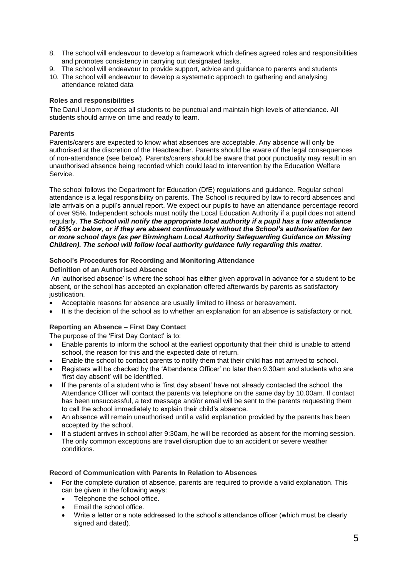- 8. The school will endeavour to develop a framework which defines agreed roles and responsibilities and promotes consistency in carrying out designated tasks.
- 9. The school will endeavour to provide support, advice and guidance to parents and students
- 10. The school will endeavour to develop a systematic approach to gathering and analysing attendance related data

# <span id="page-4-0"></span>**Roles and responsibilities**

The Darul Uloom expects all students to be punctual and maintain high levels of attendance. All students should arrive on time and ready to learn.

# <span id="page-4-1"></span>**Parents**

Parents/carers are expected to know what absences are acceptable. Any absence will only be authorised at the discretion of the Headteacher. Parents should be aware of the legal consequences of non-attendance (see below). Parents/carers should be aware that poor punctuality may result in an unauthorised absence being recorded which could lead to intervention by the Education Welfare Service.

The school follows the Department for Education (DfE) regulations and guidance. Regular school attendance is a legal responsibility on parents. The School is required by law to record absences and late arrivals on a pupil's annual report. We expect our pupils to have an attendance percentage record of over 95%. Independent schools must notify the Local Education Authority if a pupil does not attend regularly. *The School will notify the appropriate local authority if a pupil has a low attendance of 85% or below, or if they are absent continuously without the School's authorisation for ten or more school days (as per Birmingham Local Authority Safeguarding Guidance on Missing Children). The school will follow local authority guidance fully regarding this matter.*

# <span id="page-4-2"></span>**School's Procedures for Recording and Monitoring Attendance**

# <span id="page-4-3"></span>**Definition of an Authorised Absence**

An 'authorised absence' is where the school has either given approval in advance for a student to be absent, or the school has accepted an explanation offered afterwards by parents as satisfactory justification.

- Acceptable reasons for absence are usually limited to illness or bereavement.
- It is the decision of the school as to whether an explanation for an absence is satisfactory or not.

# <span id="page-4-4"></span>**Reporting an Absence – First Day Contact**

The purpose of the 'First Day Contact' is to:

- Enable parents to inform the school at the earliest opportunity that their child is unable to attend school, the reason for this and the expected date of return.
- Enable the school to contact parents to notify them that their child has not arrived to school.
- Registers will be checked by the 'Attendance Officer' no later than 9.30am and students who are 'first day absent' will be identified.
- If the parents of a student who is 'first day absent' have not already contacted the school, the Attendance Officer will contact the parents via telephone on the same day by 10.00am. If contact has been unsuccessful, a text message and/or email will be sent to the parents requesting them to call the school immediately to explain their child's absence.
- An absence will remain unauthorised until a valid explanation provided by the parents has been accepted by the school.
- If a student arrives in school after 9:30am, he will be recorded as absent for the morning session. The only common exceptions are travel disruption due to an accident or severe weather conditions.

# <span id="page-4-5"></span>**Record of Communication with Parents In Relation to Absences**

- For the complete duration of absence, parents are required to provide a valid explanation. This can be given in the following ways:
	- Telephone the school office.
	- Email the school office.
	- Write a letter or a note addressed to the school's attendance officer (which must be clearly signed and dated).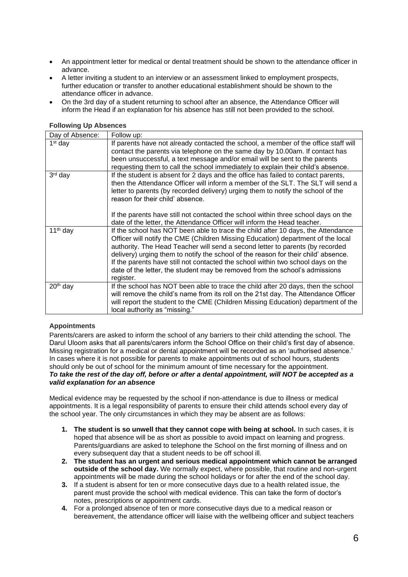- An appointment letter for medical or dental treatment should be shown to the attendance officer in advance.
- A letter inviting a student to an interview or an assessment linked to employment prospects, further education or transfer to another educational establishment should be shown to the attendance officer in advance.
- On the 3rd day of a student returning to school after an absence, the Attendance Officer will inform the Head if an explanation for his absence has still not been provided to the school.

#### <span id="page-5-0"></span>**Following Up Absences**

| Day of Absence:      | Follow up:                                                                                                                                                                                                                                                                                                                                                                                                                                                                                                                  |
|----------------------|-----------------------------------------------------------------------------------------------------------------------------------------------------------------------------------------------------------------------------------------------------------------------------------------------------------------------------------------------------------------------------------------------------------------------------------------------------------------------------------------------------------------------------|
| $1st$ day            | If parents have not already contacted the school, a member of the office staff will<br>contact the parents via telephone on the same day by 10.00am. If contact has<br>been unsuccessful, a text message and/or email will be sent to the parents<br>requesting them to call the school immediately to explain their child's absence.                                                                                                                                                                                       |
| 3rd day              | If the student is absent for 2 days and the office has failed to contact parents,<br>then the Attendance Officer will inform a member of the SLT. The SLT will send a<br>letter to parents (by recorded delivery) urging them to notify the school of the<br>reason for their child' absence.<br>If the parents have still not contacted the school within three school days on the                                                                                                                                         |
|                      | date of the letter, the Attendance Officer will inform the Head teacher.                                                                                                                                                                                                                                                                                                                                                                                                                                                    |
| 11 <sup>th</sup> day | If the school has NOT been able to trace the child after 10 days, the Attendance<br>Officer will notify the CME (Children Missing Education) department of the local<br>authority. The Head Teacher will send a second letter to parents (by recorded<br>delivery) urging them to notify the school of the reason for their child' absence.<br>If the parents have still not contacted the school within two school days on the<br>date of the letter, the student may be removed from the school's admissions<br>register. |
| 20 <sup>th</sup> day | If the school has NOT been able to trace the child after 20 days, then the school<br>will remove the child's name from its roll on the 21st day. The Attendance Officer<br>will report the student to the CME (Children Missing Education) department of the<br>local authority as "missing."                                                                                                                                                                                                                               |

# <span id="page-5-1"></span>**Appointments**

Parents/carers are asked to inform the school of any barriers to their child attending the school. The Darul Uloom asks that all parents/carers inform the School Office on their child's first day of absence. Missing registration for a medical or dental appointment will be recorded as an 'authorised absence.' In cases where it is not possible for parents to make appointments out of school hours, students should only be out of school for the minimum amount of time necessary for the appointment. *To take the rest of the day off, before or after a dental appointment, will NOT be accepted as a valid explanation for an absence* 

Medical evidence may be requested by the school if non-attendance is due to illness or medical appointments. It is a legal responsibility of parents to ensure their child attends school every day of the school year. The only circumstances in which they may be absent are as follows:

- **1. The student is so unwell that they cannot cope with being at school.** In such cases, it is hoped that absence will be as short as possible to avoid impact on learning and progress. Parents/guardians are asked to telephone the School on the first morning of illness and on every subsequent day that a student needs to be off school ill.
- **2. The student has an urgent and serious medical appointment which cannot be arranged outside of the school day.** We normally expect, where possible, that routine and non-urgent appointments will be made during the school holidays or for after the end of the school day.
- **3.** If a student is absent for ten or more consecutive days due to a health related issue, the parent must provide the school with medical evidence. This can take the form of doctor's notes, prescriptions or appointment cards.
- **4.** For a prolonged absence of ten or more consecutive days due to a medical reason or bereavement, the attendance officer will liaise with the wellbeing officer and subject teachers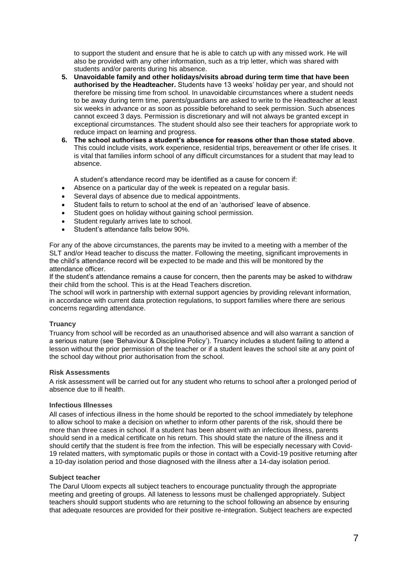to support the student and ensure that he is able to catch up with any missed work. He will also be provided with any other information, such as a trip letter, which was shared with students and/or parents during his absence.

- **5. Unavoidable family and other holidays/visits abroad during term time that have been authorised by the Headteacher.** Students have 13 weeks' holiday per year, and should not therefore be missing time from school. In unavoidable circumstances where a student needs to be away during term time, parents/guardians are asked to write to the Headteacher at least six weeks in advance or as soon as possible beforehand to seek permission. Such absences cannot exceed 3 days. Permission is discretionary and will not always be granted except in exceptional circumstances. The student should also see their teachers for appropriate work to reduce impact on learning and progress.
- **6. The school authorises a student's absence for reasons other than those stated above**. This could include visits, work experience, residential trips, bereavement or other life crises. It is vital that families inform school of any difficult circumstances for a student that may lead to absence.

A student's attendance record may be identified as a cause for concern if:

- Absence on a particular day of the week is repeated on a regular basis.
- Several days of absence due to medical appointments.
- Student fails to return to school at the end of an 'authorised' leave of absence.
- Student goes on holiday without gaining school permission.
- Student regularly arrives late to school.
- Student's attendance falls below 90%.

For any of the above circumstances, the parents may be invited to a meeting with a member of the SLT and/or Head teacher to discuss the matter. Following the meeting, significant improvements in the child's attendance record will be expected to be made and this will be monitored by the attendance officer.

If the student's attendance remains a cause for concern, then the parents may be asked to withdraw their child from the school. This is at the Head Teachers discretion.

The school will work in partnership with external support agencies by providing relevant information, in accordance with current data protection regulations, to support families where there are serious concerns regarding attendance.

# <span id="page-6-0"></span>**Truancy**

Truancy from school will be recorded as an unauthorised absence and will also warrant a sanction of a serious nature (see 'Behaviour & Discipline Policy'). Truancy includes a student failing to attend a lesson without the prior permission of the teacher or if a student leaves the school site at any point of the school day without prior authorisation from the school.

#### <span id="page-6-1"></span>**Risk Assessments**

A risk assessment will be carried out for any student who returns to school after a prolonged period of absence due to ill health.

#### <span id="page-6-2"></span>**Infectious Illnesses**

All cases of infectious illness in the home should be reported to the school immediately by telephone to allow school to make a decision on whether to inform other parents of the risk, should there be more than three cases in school. If a student has been absent with an infectious illness, parents should send in a medical certificate on his return. This should state the nature of the illness and it should certify that the student is free from the infection. This will be especially necessary with Covid-19 related matters, with symptomatic pupils or those in contact with a Covid-19 positive returning after a 10-day isolation period and those diagnosed with the illness after a 14-day isolation period.

#### <span id="page-6-3"></span>**Subject teacher**

The Darul Uloom expects all subject teachers to encourage punctuality through the appropriate meeting and greeting of groups. All lateness to lessons must be challenged appropriately. Subject teachers should support students who are returning to the school following an absence by ensuring that adequate resources are provided for their positive re-integration. Subject teachers are expected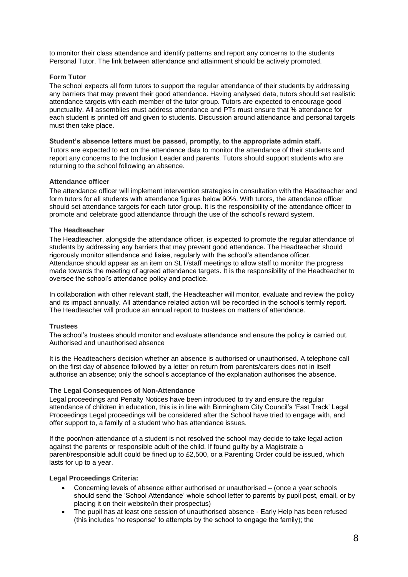to monitor their class attendance and identify patterns and report any concerns to the students Personal Tutor. The link between attendance and attainment should be actively promoted.

#### <span id="page-7-0"></span>**Form Tutor**

The school expects all form tutors to support the regular attendance of their students by addressing any barriers that may prevent their good attendance. Having analysed data, tutors should set realistic attendance targets with each member of the tutor group. Tutors are expected to encourage good punctuality. All assemblies must address attendance and PTs must ensure that % attendance for each student is printed off and given to students. Discussion around attendance and personal targets must then take place.

#### <span id="page-7-1"></span>**Student's absence letters must be passed, promptly, to the appropriate admin staff.**

Tutors are expected to act on the attendance data to monitor the attendance of their students and report any concerns to the Inclusion Leader and parents. Tutors should support students who are returning to the school following an absence.

#### <span id="page-7-2"></span>**Attendance officer**

The attendance officer will implement intervention strategies in consultation with the Headteacher and form tutors for all students with attendance figures below 90%. With tutors, the attendance officer should set attendance targets for each tutor group. It is the responsibility of the attendance officer to promote and celebrate good attendance through the use of the school's reward system.

#### <span id="page-7-3"></span>**The Headteacher**

The Headteacher, alongside the attendance officer, is expected to promote the regular attendance of students by addressing any barriers that may prevent good attendance. The Headteacher should rigorously monitor attendance and liaise, regularly with the school's attendance officer. Attendance should appear as an item on SLT/staff meetings to allow staff to monitor the progress made towards the meeting of agreed attendance targets. It is the responsibility of the Headteacher to oversee the school's attendance policy and practice.

In collaboration with other relevant staff, the Headteacher will monitor, evaluate and review the policy and its impact annually. All attendance related action will be recorded in the school's termly report. The Headteacher will produce an annual report to trustees on matters of attendance.

# <span id="page-7-4"></span>**Trustees**

The school's trustees should monitor and evaluate attendance and ensure the policy is carried out. Authorised and unauthorised absence

It is the Headteachers decision whether an absence is authorised or unauthorised. A telephone call on the first day of absence followed by a letter on return from parents/carers does not in itself authorise an absence; only the school's acceptance of the explanation authorises the absence.

# <span id="page-7-5"></span>**The Legal Consequences of Non-Attendance**

Legal proceedings and Penalty Notices have been introduced to try and ensure the regular attendance of children in education, this is in line with Birmingham City Council's 'Fast Track' Legal Proceedings Legal proceedings will be considered after the School have tried to engage with, and offer support to, a family of a student who has attendance issues.

If the poor/non-attendance of a student is not resolved the school may decide to take legal action against the parents or responsible adult of the child. If found guilty by a Magistrate a parent/responsible adult could be fined up to £2,500, or a Parenting Order could be issued, which lasts for up to a year.

#### <span id="page-7-6"></span>**Legal Proceedings Criteria:**

- Concerning levels of absence either authorised or unauthorised (once a year schools should send the 'School Attendance' whole school letter to parents by pupil post, email, or by placing it on their website/in their prospectus)
- The pupil has at least one session of unauthorised absence Early Help has been refused (this includes 'no response' to attempts by the school to engage the family); the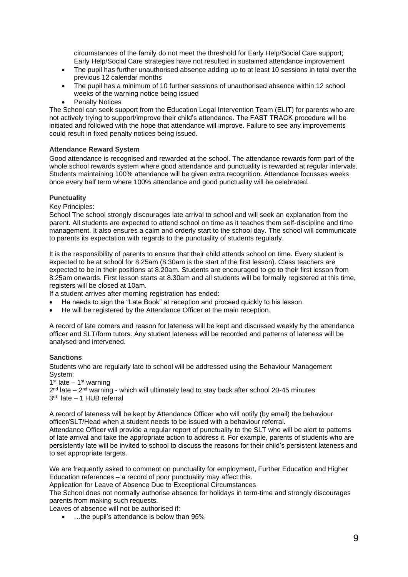circumstances of the family do not meet the threshold for Early Help/Social Care support; Early Help/Social Care strategies have not resulted in sustained attendance improvement

- The pupil has further unauthorised absence adding up to at least 10 sessions in total over the previous 12 calendar months
- The pupil has a minimum of 10 further sessions of unauthorised absence within 12 school weeks of the warning notice being issued
- Penalty Notices

The School can seek support from the Education Legal Intervention Team (ELIT) for parents who are not actively trying to support/improve their child's attendance. The FAST TRACK procedure will be initiated and followed with the hope that attendance will improve. Failure to see any improvements could result in fixed penalty notices being issued.

# <span id="page-8-0"></span>**Attendance Reward System**

Good attendance is recognised and rewarded at the school. The attendance rewards form part of the whole school rewards system where good attendance and punctuality is rewarded at regular intervals. Students maintaining 100% attendance will be given extra recognition. Attendance focusses weeks once every half term where 100% attendance and good punctuality will be celebrated.

#### <span id="page-8-1"></span>**Punctuality**

Key Principles:

School The school strongly discourages late arrival to school and will seek an explanation from the parent. All students are expected to attend school on time as it teaches them self-discipline and time management. It also ensures a calm and orderly start to the school day. The school will communicate to parents its expectation with regards to the punctuality of students regularly.

It is the responsibility of parents to ensure that their child attends school on time. Every student is expected to be at school for 8.25am (8.30am is the start of the first lesson). Class teachers are expected to be in their positions at 8.20am. Students are encouraged to go to their first lesson from 8:25am onwards. First lesson starts at 8.30am and all students will be formally registered at this time, registers will be closed at 10am.

If a student arrives after morning registration has ended:

- He needs to sign the "Late Book" at reception and proceed quickly to his lesson.
- He will be registered by the Attendance Officer at the main reception.

A record of late comers and reason for lateness will be kept and discussed weekly by the attendance officer and SLT/form tutors. Any student lateness will be recorded and patterns of lateness will be analysed and intervened.

#### <span id="page-8-2"></span>**Sanctions**

Students who are regularly late to school will be addressed using the Behaviour Management System:

 $1<sup>st</sup>$  late  $-1<sup>st</sup>$  warning

2<sup>nd</sup> late – 2<sup>nd</sup> warning - which will ultimately lead to stay back after school 20-45 minutes 3 rd late – 1 HUB referral

A record of lateness will be kept by Attendance Officer who will notify (by email) the behaviour officer/SLT/Head when a student needs to be issued with a behaviour referral.

Attendance Officer will provide a regular report of punctuality to the SLT who will be alert to patterns of late arrival and take the appropriate action to address it. For example, parents of students who are persistently late will be invited to school to discuss the reasons for their child's persistent lateness and to set appropriate targets.

We are frequently asked to comment on punctuality for employment. Further Education and Higher Education references – a record of poor punctuality may affect this.

Application for Leave of Absence Due to Exceptional Circumstances

The School does not normally authorise absence for holidays in term-time and strongly discourages parents from making such requests.

Leaves of absence will not be authorised if:

• ...the pupil's attendance is below than 95%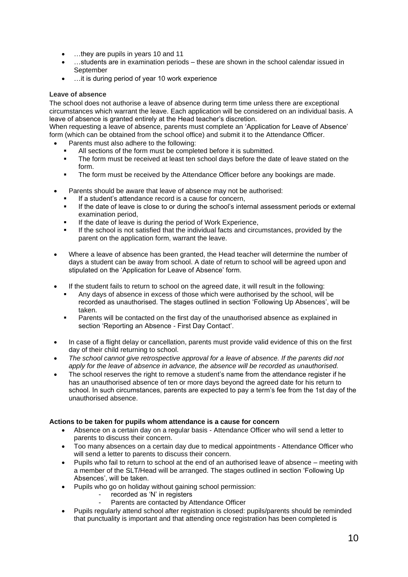- ... they are pupils in years 10 and 11
- …students are in examination periods these are shown in the school calendar issued in September
- …it is during period of year 10 work experience

# <span id="page-9-0"></span>**Leave of absence**

The school does not authorise a leave of absence during term time unless there are exceptional circumstances which warrant the leave. Each application will be considered on an individual basis. A leave of absence is granted entirely at the Head teacher's discretion.

When requesting a leave of absence, parents must complete an 'Application for Leave of Absence' form (which can be obtained from the school office) and submit it to the Attendance Officer.

- Parents must also adhere to the following:
	- All sections of the form must be completed before it is submitted.
	- The form must be received at least ten school days before the date of leave stated on the form.
	- The form must be received by the Attendance Officer before any bookings are made.
- Parents should be aware that leave of absence may not be authorised:
	- If a student's attendance record is a cause for concern,
	- If the date of leave is close to or during the school's internal assessment periods or external examination period,
	- If the date of leave is during the period of Work Experience,
	- If the school is not satisfied that the individual facts and circumstances, provided by the parent on the application form, warrant the leave.
- Where a leave of absence has been granted, the Head teacher will determine the number of days a student can be away from school. A date of return to school will be agreed upon and stipulated on the 'Application for Leave of Absence' form.
- If the student fails to return to school on the agreed date, it will result in the following:
	- Any days of absence in excess of those which were authorised by the school, will be recorded as unauthorised. The stages outlined in section 'Following Up Absences', will be taken.
	- Parents will be contacted on the first day of the unauthorised absence as explained in section 'Reporting an Absence - First Day Contact'.
- In case of a flight delay or cancellation, parents must provide valid evidence of this on the first day of their child returning to school.
- *The school cannot give retrospective approval for a leave of absence. If the parents did not apply for the leave of absence in advance, the absence will be recorded as unauthorised.*
- The school reserves the right to remove a student's name from the attendance register if he has an unauthorised absence of ten or more days beyond the agreed date for his return to school. In such circumstances, parents are expected to pay a term's fee from the 1st day of the unauthorised absence.

# **Actions to be taken for pupils whom attendance is a cause for concern**

- Absence on a certain day on a regular basis Attendance Officer who will send a letter to parents to discuss their concern.
- Too many absences on a certain day due to medical appointments Attendance Officer who will send a letter to parents to discuss their concern.
- Pupils who fail to return to school at the end of an authorised leave of absence meeting with a member of the SLT/Head will be arranged. The stages outlined in section 'Following Up Absences', will be taken.
- Pupils who go on holiday without gaining school permission:
	- recorded as 'N' in registers
	- Parents are contacted by Attendance Officer
- Pupils regularly attend school after registration is closed: pupils/parents should be reminded that punctuality is important and that attending once registration has been completed is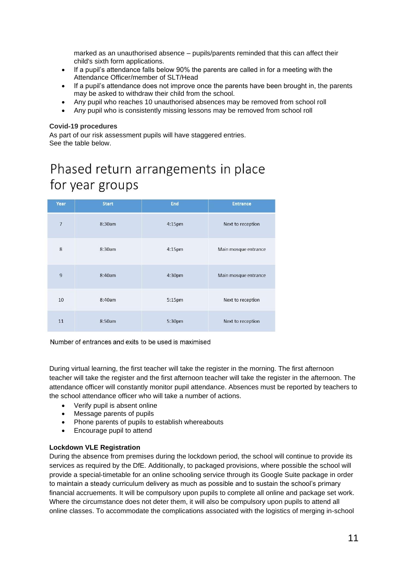marked as an unauthorised absence – pupils/parents reminded that this can affect their child's sixth form applications.

- If a pupil's attendance falls below 90% the parents are called in for a meeting with the Attendance Officer/member of SLT/Head
- If a pupil's attendance does not improve once the parents have been brought in, the parents may be asked to withdraw their child from the school.
- Any pupil who reaches 10 unauthorised absences may be removed from school roll
- Any pupil who is consistently missing lessons may be removed from school roll

#### <span id="page-10-0"></span>**Covid-19 procedures**

As part of our risk assessment pupils will have staggered entries. See the table below.

# Phased return arrangements in place for year groups

| Year           | <b>Start</b> | End    | <b>Entrance</b>      |
|----------------|--------------|--------|----------------------|
| $\overline{7}$ | 8:30am       | 4:15pm | Next to reception    |
| 8              | 8:30am       | 4:15pm | Main mosque entrance |
| $\overline{9}$ | 8:40am       | 4:30pm | Main mosque entrance |
| 10             | 8:40am       | 5:15pm | Next to reception    |
| 11             | 8:50am       | 5:30pm | Next to reception    |

Number of entrances and exits to be used is maximised

During virtual learning, the first teacher will take the register in the morning. The first afternoon teacher will take the register and the first afternoon teacher will take the register in the afternoon. The attendance officer will constantly monitor pupil attendance. Absences must be reported by teachers to the school attendance officer who will take a number of actions.

- Verify pupil is absent online
- Message parents of pupils
- Phone parents of pupils to establish whereabouts
- Encourage pupil to attend

# **Lockdown VLE Registration**

During the absence from premises during the lockdown period, the school will continue to provide its services as required by the DfE. Additionally, to packaged provisions, where possible the school will provide a special-timetable for an online schooling service through its Google Suite package in order to maintain a steady curriculum delivery as much as possible and to sustain the school's primary financial accruements. It will be compulsory upon pupils to complete all online and package set work. Where the circumstance does not deter them, it will also be compulsory upon pupils to attend all online classes. To accommodate the complications associated with the logistics of merging in-school